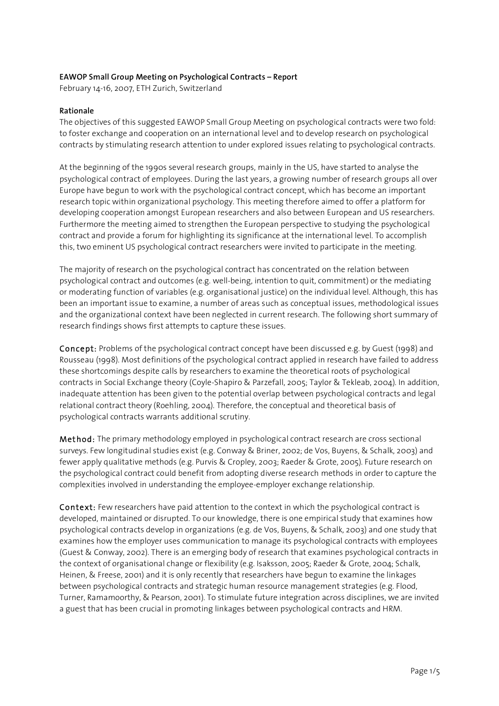### **EAWOP Small Group Meeting on Psychological Contracts – Report**

February 14-16, 2007, ETH Zurich, Switzerland

#### **Rationale**

The objectives of this suggested EAWOP Small Group Meeting on psychological contracts were two fold: to foster exchange and cooperation on an international level and to develop research on psychological contracts by stimulating research attention to under explored issues relating to psychological contracts.

At the beginning of the 1990s several research groups, mainly in the US, have started to analyse the psychological contract of employees. During the last years, a growing number of research groups all over Europe have begun to work with the psychological contract concept, which has become an important research topic within organizational psychology. This meeting therefore aimed to offer a platform for developing cooperation amongst European researchers and also between European and US researchers. Furthermore the meeting aimed to strengthen the European perspective to studying the psychological contract and provide a forum for highlighting its significance at the international level. To accomplish this, two eminent US psychological contract researchers were invited to participate in the meeting.

The majority of research on the psychological contract has concentrated on the relation between psychological contract and outcomes (e.g. well-being, intention to quit, commitment) or the mediating or moderating function of variables (e.g. organisational justice) on the individual level. Although, this has been an important issue to examine, a number of areas such as conceptual issues, methodological issues and the organizational context have been neglected in current research. The following short summary of research findings shows first attempts to capture these issues.

Concept: Problems of the psychological contract concept have been discussed e.g. by Guest (1998) and Rousseau (1998). Most definitions of the psychological contract applied in research have failed to address these shortcomings despite calls by researchers to examine the theoretical roots of psychological contracts in Social Exchange theory (Coyle-Shapiro & Parzefall, 2005; Taylor & Tekleab, 2004). In addition, inadequate attention has been given to the potential overlap between psychological contracts and legal relational contract theory (Roehling, 2004). Therefore, the conceptual and theoretical basis of psychological contracts warrants additional scrutiny.

Method: The primary methodology employed in psychological contract research are cross sectional surveys. Few longitudinal studies exist (e.g. Conway & Briner, 2002; de Vos, Buyens, & Schalk, 2003) and fewer apply qualitative methods (e.g. Purvis & Cropley, 2003; Raeder & Grote, 2005). Future research on the psychological contract could benefit from adopting diverse research methods in order to capture the complexities involved in understanding the employee-employer exchange relationship.

Context: Few researchers have paid attention to the context in which the psychological contract is developed, maintained or disrupted. To our knowledge, there is one empirical study that examines how psychological contracts develop in organizations (e.g. de Vos, Buyens, & Schalk, 2003) and one study that examines how the employer uses communication to manage its psychological contracts with employees (Guest & Conway, 2002). There is an emerging body of research that examines psychological contracts in the context of organisational change or flexibility (e.g. Isaksson, 2005; Raeder & Grote, 2004; Schalk, Heinen, & Freese, 2001) and it is only recently that researchers have begun to examine the linkages between psychological contracts and strategic human resource management strategies (e.g. Flood, Turner, Ramamoorthy, & Pearson, 2001). To stimulate future integration across disciplines, we are invited a guest that has been crucial in promoting linkages between psychological contracts and HRM.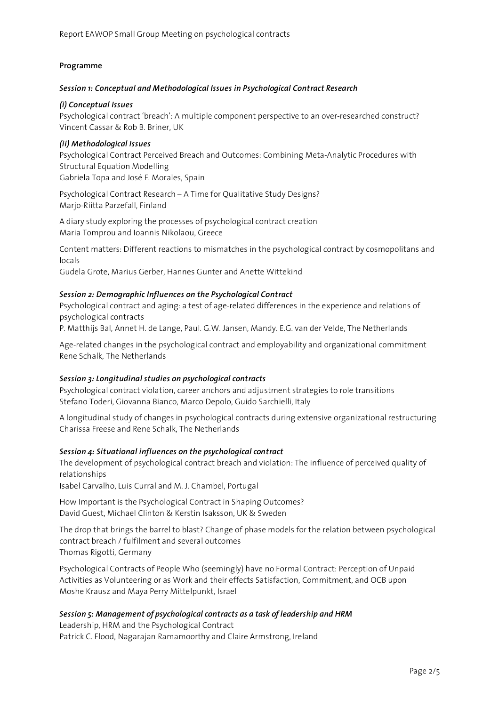## **Programme**

#### *Session 1: Conceptual and Methodological Issues in Psychological Contract Research*

### *(i) Conceptual Issues*

Psychological contract 'breach': A multiple component perspective to an over-researched construct? Vincent Cassar & Rob B. Briner, UK

### *(ii) Methodological Issues*

Psychological Contract Perceived Breach and Outcomes: Combining Meta-Analytic Procedures with Structural Equation Modelling Gabriela Topa and José F. Morales, Spain

Psychological Contract Research – A Time for Qualitative Study Designs? Marjo-Riitta Parzefall, Finland

A diary study exploring the processes of psychological contract creation Maria Tomprou and Ioannis Nikolaou, Greece

Content matters: Different reactions to mismatches in the psychological contract by cosmopolitans and locals

Gudela Grote, Marius Gerber, Hannes Gunter and Anette Wittekind

## *Session 2: Demographic Influences on the Psychological Contract*

Psychological contract and aging: a test of age-related differences in the experience and relations of psychological contracts

P. Matthijs Bal, Annet H. de Lange, Paul. G.W. Jansen, Mandy. E.G. van der Velde, The Netherlands

Age-related changes in the psychological contract and employability and organizational commitment Rene Schalk, The Netherlands

#### *Session 3: Longitudinal studies on psychological contracts*

Psychological contract violation, career anchors and adjustment strategies to role transitions Stefano Toderi, Giovanna Bianco, Marco Depolo, Guido Sarchielli, Italy

A longitudinal study of changes in psychological contracts during extensive organizational restructuring Charissa Freese and Rene Schalk, The Netherlands

#### *Session 4: Situational influences on the psychological contract*

The development of psychological contract breach and violation: The influence of perceived quality of relationships

Isabel Carvalho, Luis Curral and M. J. Chambel, Portugal

How Important is the Psychological Contract in Shaping Outcomes? David Guest, Michael Clinton & Kerstin Isaksson, UK & Sweden

The drop that brings the barrel to blast? Change of phase models for the relation between psychological contract breach / fulfilment and several outcomes Thomas Rigotti, Germany

Psychological Contracts of People Who (seemingly) have no Formal Contract: Perception of Unpaid Activities as Volunteering or as Work and their effects Satisfaction, Commitment, and OCB upon Moshe Krausz and Maya Perry Mittelpunkt, Israel

# *Session 5: Management of psychological contracts as a task of leadership and HRM*

Leadership, HRM and the Psychological Contract Patrick C. Flood, Nagarajan Ramamoorthy and Claire Armstrong, Ireland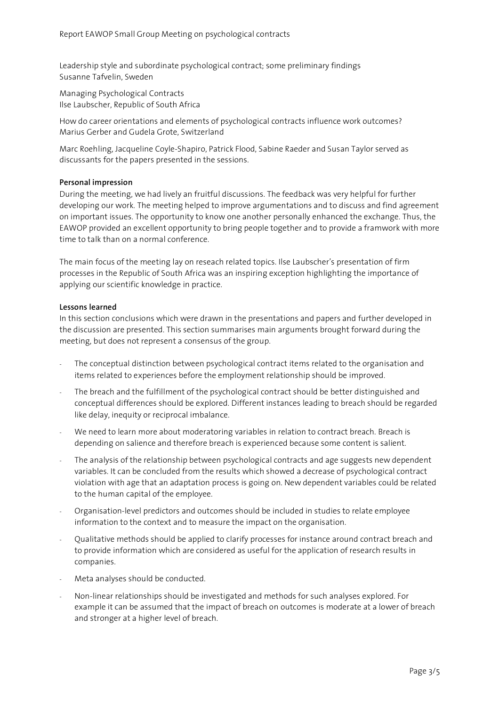Leadership style and subordinate psychological contract; some preliminary findings Susanne Tafvelin, Sweden

Managing Psychological Contracts Ilse Laubscher, Republic of South Africa

How do career orientations and elements of psychological contracts influence work outcomes? Marius Gerber and Gudela Grote, Switzerland

Marc Roehling, Jacqueline Coyle-Shapiro, Patrick Flood, Sabine Raeder and Susan Taylor served as discussants for the papers presented in the sessions.

# **Personal impression**

During the meeting, we had lively an fruitful discussions. The feedback was very helpful for further developing our work. The meeting helped to improve argumentations and to discuss and find agreement on important issues. The opportunity to know one another personally enhanced the exchange. Thus, the EAWOP provided an excellent opportunity to bring people together and to provide a framwork with more time to talk than on a normal conference.

The main focus of the meeting lay on reseach related topics. Ilse Laubscher's presentation of firm processes in the Republic of South Africa was an inspiring exception highlighting the importance of applying our scientific knowledge in practice.

## **Lessons learned**

In this section conclusions which were drawn in the presentations and papers and further developed in the discussion are presented. This section summarises main arguments brought forward during the meeting, but does not represent a consensus of the group.

- The conceptual distinction between psychological contract items related to the organisation and items related to experiences before the employment relationship should be improved.
- The breach and the fulfillment of the psychological contract should be better distinguished and conceptual differences should be explored. Different instances leading to breach should be regarded like delay, inequity or reciprocal imbalance.
- We need to learn more about moderatoring variables in relation to contract breach. Breach is depending on salience and therefore breach is experienced because some content is salient.
- The analysis of the relationship between psychological contracts and age suggests new dependent variables. It can be concluded from the results which showed a decrease of psychological contract violation with age that an adaptation process is going on. New dependent variables could be related to the human capital of the employee.
- Organisation-level predictors and outcomes should be included in studies to relate employee information to the context and to measure the impact on the organisation.
- Qualitative methods should be applied to clarify processes for instance around contract breach and to provide information which are considered as useful for the application of research results in companies.
- Meta analyses should be conducted.
- Non-linear relationships should be investigated and methods for such analyses explored. For example it can be assumed that the impact of breach on outcomes is moderate at a lower of breach and stronger at a higher level of breach.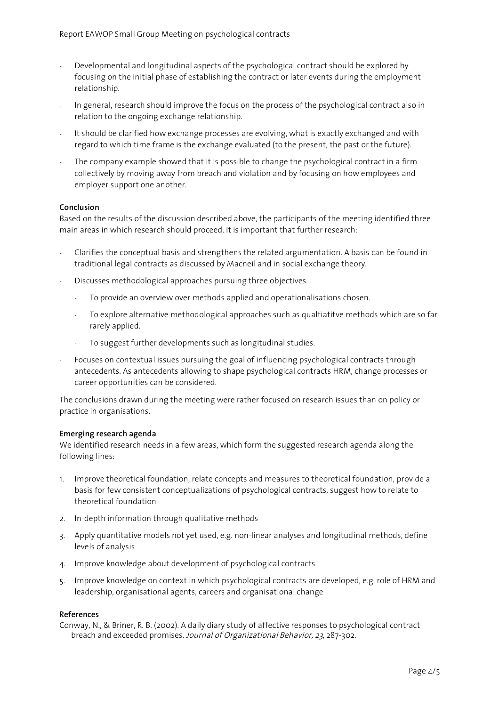- Developmental and longitudinal aspects of the psychological contract should be explored by focusing on the initial phase of establishing the contract or later events during the employment relationship.
- In general, research should improve the focus on the process of the psychological contract also in relation to the ongoing exchange relationship.
- It should be clarified how exchange processes are evolving, what is exactly exchanged and with regard to which time frame is the exchange evaluated (to the present, the past or the future).
- The company example showed that it is possible to change the psychological contract in a firm collectively by moving away from breach and violation and by focusing on how employees and employer support one another.

## **Conclusion**

Based on the results of the discussion described above, the participants of the meeting identified three main areas in which research should proceed. It is important that further research:

- Clarifies the conceptual basis and strengthens the related argumentation. A basis can be found in traditional legal contracts as discussed by Macneil and in social exchange theory.
- Discusses methodological approaches pursuing three objectives.
	- To provide an overview over methods applied and operationalisations chosen.
	- To explore alternative methodological approaches such as qualtiatitve methods which are so far rarely applied.
	- To suggest further developments such as longitudinal studies.
- Focuses on contextual issues pursuing the goal of influencing psychological contracts through antecedents. As antecedents allowing to shape psychological contracts HRM, change processes or career opportunities can be considered.

The conclusions drawn during the meeting were rather focused on research issues than on policy or practice in organisations.

#### **Emerging research agenda**

We identified research needs in a few areas, which form the suggested research agenda along the following lines:

- 1. Improve theoretical foundation, relate concepts and measures to theoretical foundation, provide a basis for few consistent conceptualizations of psychological contracts, suggest how to relate to theoretical foundation
- 2. In-depth information through qualitative methods
- 3. Apply quantitative models not yet used, e.g. non-linear analyses and longitudinal methods, define levels of analysis
- 4. Improve knowledge about development of psychological contracts
- 5. Improve knowledge on context in which psychological contracts are developed, e.g. role of HRM and leadership, organisational agents, careers and organisational change

#### **References**

Conway, N., & Briner, R. B. (2002). A daily diary study of affective responses to psychological contract breach and exceeded promises. Journal of Organizational Behavior, 23, 287-302.